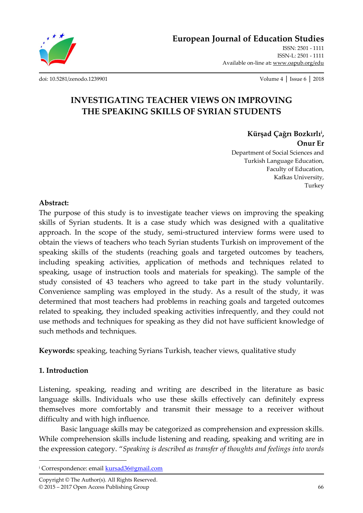**European Journal of Education Studies**

ISSN: 2501 - 1111 ISSN-L: 2501 - 1111 Available on-line at**:** www.oapub.org/edu

[doi: 10.5281/zenodo.1239901](http://dx.doi.org/10.5281/zenodo.1239901) Volume 4 │ Issue 6 │ 2018

# **INVESTIGATING TEACHER VIEWS ON IMPROVING THE SPEAKING SKILLS OF SYRIAN STUDENTS**

**Kürşad Çağrı Bozkırlı<sup>i</sup> ,**

**Onur Er**  Department of Social Sciences and Turkish Language Education, Faculty of Education, Kafkas University, Turkey

### **Abstract:**

The purpose of this study is to investigate teacher views on improving the speaking skills of Syrian students. It is a case study which was designed with a qualitative approach. In the scope of the study, semi-structured interview forms were used to obtain the views of teachers who teach Syrian students Turkish on improvement of the speaking skills of the students (reaching goals and targeted outcomes by teachers, including speaking activities, application of methods and techniques related to speaking, usage of instruction tools and materials for speaking). The sample of the study consisted of 43 teachers who agreed to take part in the study voluntarily. Convenience sampling was employed in the study. As a result of the study, it was determined that most teachers had problems in reaching goals and targeted outcomes related to speaking, they included speaking activities infrequently, and they could not use methods and techniques for speaking as they did not have sufficient knowledge of such methods and techniques.

**Keywords:** speaking, teaching Syrians Turkish, teacher views, qualitative study

### **1. Introduction**

Listening, speaking, reading and writing are described in the literature as basic language skills. Individuals who use these skills effectively can definitely express themselves more comfortably and transmit their message to a receiver without difficulty and with high influence.

Basic language skills may be categorized as comprehension and expression skills. While comprehension skills include listening and reading, speaking and writing are in the expression category. "*Speaking is described as transfer of thoughts and feelings into words* 

Copyright © The Author(s). All Rights Reserved. © 2015 – 2017 Open Access Publishing Group 66

<sup>&</sup>lt;sup>i</sup> Correspondence: email <u>kursad36@gmail.com</u>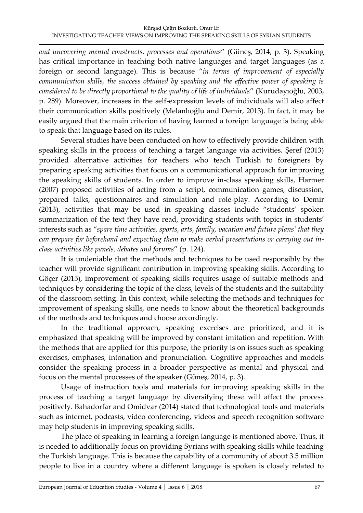*and uncovering mental constructs, processes and operations*" (Güneş, 2014, p. 3). Speaking has critical importance in teaching both native languages and target languages (as a foreign or second language). This is because "*in terms of improvement of especially communication skills, the success obtained by speaking and the effective power of speaking is considered to be directly proportional to the quality of life of individuals*" (Kurudayıoğlu, 2003, p. 289). Moreover, increases in the self-expression levels of individuals will also affect their communication skills positively (Melanlıoğlu and Demir, 2013). In fact, it may be easily argued that the main criterion of having learned a foreign language is being able to speak that language based on its rules.

Several studies have been conducted on how to effectively provide children with speaking skills in the process of teaching a target language via activities. Şeref (2013) provided alternative activities for teachers who teach Turkish to foreigners by preparing speaking activities that focus on a communicational approach for improving the speaking skills of students. In order to improve in-class speaking skills, Harmer (2007) proposed activities of acting from a script, communication games, discussion, prepared talks, questionnaires and simulation and role-play. According to Demir (2013), activities that may be used in speaking classes include "students' spoken summarization of the text they have read, providing students with topics in students' interests such as "*spare time activities, sports, arts, family, vacation and future plans' that they can prepare for beforehand and expecting them to make verbal presentations or carrying out inclass activities like panels, debates and forums*" (p. 124).

It is undeniable that the methods and techniques to be used responsibly by the teacher will provide significant contribution in improving speaking skills. According to Göçer (2015), improvement of speaking skills requires usage of suitable methods and techniques by considering the topic of the class, levels of the students and the suitability of the classroom setting. In this context, while selecting the methods and techniques for improvement of speaking skills, one needs to know about the theoretical backgrounds of the methods and techniques and choose accordingly.

In the traditional approach, speaking exercises are prioritized, and it is emphasized that speaking will be improved by constant imitation and repetition. With the methods that are applied for this purpose, the priority is on issues such as speaking exercises, emphases, intonation and pronunciation. Cognitive approaches and models consider the speaking process in a broader perspective as mental and physical and focus on the mental processes of the speaker (Güneş, 2014, p. 3).

Usage of instruction tools and materials for improving speaking skills in the process of teaching a target language by diversifying these will affect the process positively. Bahadorfar and Omidvar (2014) stated that technological tools and materials such as internet, podcasts, video conferencing, videos and speech recognition software may help students in improving speaking skills.

The place of speaking in learning a foreign language is mentioned above. Thus, it is needed to additionally focus on providing Syrians with speaking skills while teaching the Turkish language. This is because the capability of a community of about 3.5 million people to live in a country where a different language is spoken is closely related to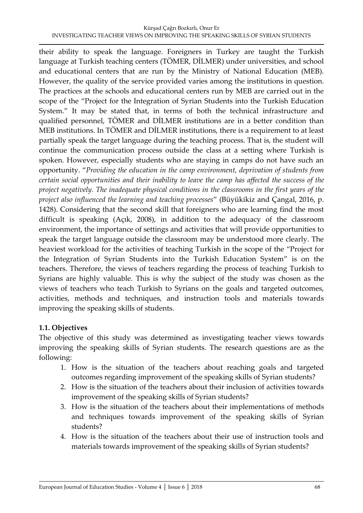their ability to speak the language. Foreigners in Turkey are taught the Turkish language at Turkish teaching centers (TÖMER, DİLMER) under universities, and school and educational centers that are run by the Ministry of National Education (MEB). However, the quality of the service provided varies among the institutions in question. The practices at the schools and educational centers run by MEB are carried out in the scope of the "Project for the Integration of Syrian Students into the Turkish Education System." It may be stated that, in terms of both the technical infrastructure and qualified personnel, TÖMER and DİLMER institutions are in a better condition than MEB institutions. In TÖMER and DİLMER institutions, there is a requirement to at least partially speak the target language during the teaching process. That is, the student will continue the communication process outside the class at a setting where Turkish is spoken. However, especially students who are staying in camps do not have such an opportunity. "*Providing the education in the camp environment, deprivation of students from certain social opportunities and their inability to leave the camp has affected the success of the project negatively. The inadequate physical conditions in the classrooms in the first years of the project also influenced the learning and teaching processes*" (Büyükikiz and Çangal, 2016, p. 1428). Considering that the second skill that foreigners who are learning find the most difficult is speaking (Açık, 2008), in addition to the adequacy of the classroom environment, the importance of settings and activities that will provide opportunities to speak the target language outside the classroom may be understood more clearly. The heaviest workload for the activities of teaching Turkish in the scope of the "Project for the Integration of Syrian Students into the Turkish Education System" is on the teachers. Therefore, the views of teachers regarding the process of teaching Turkish to Syrians are highly valuable. This is why the subject of the study was chosen as the views of teachers who teach Turkish to Syrians on the goals and targeted outcomes, activities, methods and techniques, and instruction tools and materials towards improving the speaking skills of students.

### **1.1. Objectives**

The objective of this study was determined as investigating teacher views towards improving the speaking skills of Syrian students. The research questions are as the following:

- 1. How is the situation of the teachers about reaching goals and targeted outcomes regarding improvement of the speaking skills of Syrian students?
- 2. How is the situation of the teachers about their inclusion of activities towards improvement of the speaking skills of Syrian students?
- 3. How is the situation of the teachers about their implementations of methods and techniques towards improvement of the speaking skills of Syrian students?
- 4. How is the situation of the teachers about their use of instruction tools and materials towards improvement of the speaking skills of Syrian students?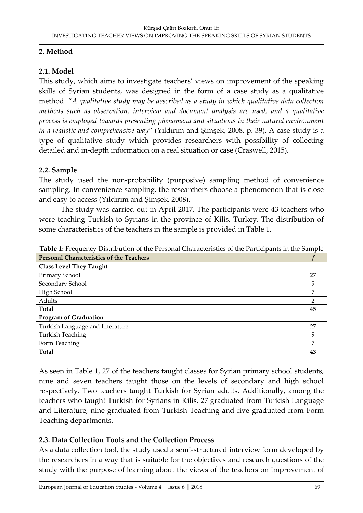# **2. Method**

# **2.1. Model**

This study, which aims to investigate teachers' views on improvement of the speaking skills of Syrian students, was designed in the form of a case study as a qualitative method. "*A qualitative study may be described as a study in which qualitative data collection methods such as observation, interview and document analysis are used, and a qualitative process is employed towards presenting phenomena and situations in their natural environment in a realistic and comprehensive way*" (Yıldırım and Şimşek, 2008, p. 39). A case study is a type of qualitative study which provides researchers with possibility of collecting detailed and in-depth information on a real situation or case (Craswell, 2015).

# **2.2. Sample**

The study used the non-probability (purposive) sampling method of convenience sampling. In convenience sampling, the researchers choose a phenomenon that is close and easy to access (Yıldırım and Şimşek, 2008).

The study was carried out in April 2017. The participants were 43 teachers who were teaching Turkish to Syrians in the province of Kilis, Turkey. The distribution of some characteristics of the teachers in the sample is provided in Table 1.

| <b>Personal Characteristics of the Teachers</b> |    |
|-------------------------------------------------|----|
| <b>Class Level They Taught</b>                  |    |
| Primary School                                  | 27 |
| Secondary School                                | 9  |
| High School                                     | 7  |
| Adults                                          | າ  |
| Total                                           | 45 |
| <b>Program of Graduation</b>                    |    |
| Turkish Language and Literature                 | 27 |
| <b>Turkish Teaching</b>                         | 9  |
| Form Teaching                                   | 7  |
| Total                                           | 43 |

**Table 1:** Frequency Distribution of the Personal Characteristics of the Participants in the Sample

As seen in Table 1, 27 of the teachers taught classes for Syrian primary school students, nine and seven teachers taught those on the levels of secondary and high school respectively. Two teachers taught Turkish for Syrian adults. Additionally, among the teachers who taught Turkish for Syrians in Kilis, 27 graduated from Turkish Language and Literature, nine graduated from Turkish Teaching and five graduated from Form Teaching departments.

# **2.3. Data Collection Tools and the Collection Process**

As a data collection tool, the study used a semi-structured interview form developed by the researchers in a way that is suitable for the objectives and research questions of the study with the purpose of learning about the views of the teachers on improvement of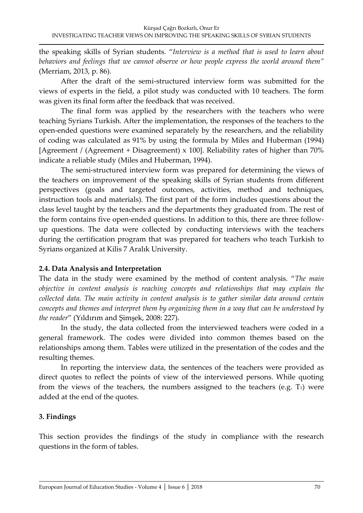the speaking skills of Syrian students. "*Interview is a method that is used to learn about behaviors and feelings that we cannot observe or how people express the world around them"* (Merriam, 2013, p. 86).

After the draft of the semi-structured interview form was submitted for the views of experts in the field, a pilot study was conducted with 10 teachers. The form was given its final form after the feedback that was received.

The final form was applied by the researchers with the teachers who were teaching Syrians Turkish. After the implementation, the responses of the teachers to the open-ended questions were examined separately by the researchers, and the reliability of coding was calculated as 91% by using the formula by Miles and Huberman (1994) [Agreement / (Agreement + Disagreement) x 100]. Reliability rates of higher than 70% indicate a reliable study (Miles and Huberman, 1994).

The semi-structured interview form was prepared for determining the views of the teachers on improvement of the speaking skills of Syrian students from different perspectives (goals and targeted outcomes, activities, method and techniques, instruction tools and materials). The first part of the form includes questions about the class level taught by the teachers and the departments they graduated from. The rest of the form contains five open-ended questions. In addition to this, there are three followup questions. The data were collected by conducting interviews with the teachers during the certification program that was prepared for teachers who teach Turkish to Syrians organized at Kilis 7 Aralık University.

# **2.4. Data Analysis and Interpretation**

The data in the study were examined by the method of content analysis. "*The main objective in content analysis is reaching concepts and relationships that may explain the collected data. The main activity in content analysis is to gather similar data around certain concepts and themes and interpret them by organizing them in a way that can be understood by the reader*" (Yıldırım and Şimşek, 2008: 227).

In the study, the data collected from the interviewed teachers were coded in a general framework. The codes were divided into common themes based on the relationships among them. Tables were utilized in the presentation of the codes and the resulting themes.

In reporting the interview data, the sentences of the teachers were provided as direct quotes to reflect the points of view of the interviewed persons. While quoting from the views of the teachers, the numbers assigned to the teachers (e.g.  $T_1$ ) were added at the end of the quotes.

# **3. Findings**

This section provides the findings of the study in compliance with the research questions in the form of tables.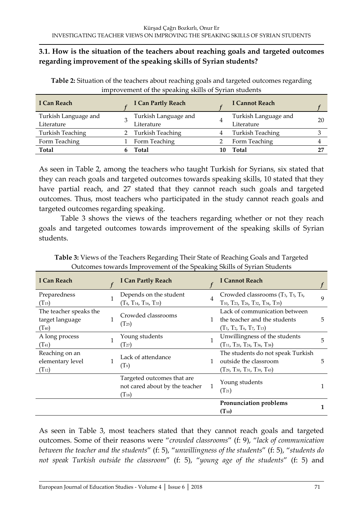# **3.1. How is the situation of the teachers about reaching goals and targeted outcomes regarding improvement of the speaking skills of Syrian students?**

**Table 2:** Situation of the teachers about reaching goals and targeted outcomes regarding improvement of the speaking skills of Syrian students

| I Can Reach             | <b>I Can Partly Reach</b> | I Cannot Reach          |    |
|-------------------------|---------------------------|-------------------------|----|
| Turkish Language and    | Turkish Language and      | Turkish Language and    | 20 |
| Literature              | Literature                | Literature              |    |
| <b>Turkish Teaching</b> | <b>Turkish Teaching</b>   | <b>Turkish Teaching</b> |    |
| Form Teaching           | Form Teaching             | Form Teaching           |    |
| <b>Total</b>            | Total                     | Total                   |    |

As seen in Table 2, among the teachers who taught Turkish for Syrians, six stated that they can reach goals and targeted outcomes towards speaking skills, 10 stated that they have partial reach, and 27 stated that they cannot reach such goals and targeted outcomes. Thus, most teachers who participated in the study cannot reach goals and targeted outcomes regarding speaking.

Table 3 shows the views of the teachers regarding whether or not they reach goals and targeted outcomes towards improvement of the speaking skills of Syrian students.

| I Can Reach                                             | <b>I Can Partly Reach</b>                                                  |              | <b>I Cannot Reach</b>                                                                                                                                                          |   |
|---------------------------------------------------------|----------------------------------------------------------------------------|--------------|--------------------------------------------------------------------------------------------------------------------------------------------------------------------------------|---|
| Preparedness<br>$(T_{15})$                              | Depends on the student<br>$(T_4, T_{14}, T_{16}, T_{33})$                  | 4            | Crowded classrooms (T <sub>3</sub> , T <sub>5</sub> , T <sub>8</sub> ,<br>$T_{10}$ , T <sub>23</sub> , T <sub>26</sub> , T <sub>32</sub> , T <sub>34</sub> , T <sub>35</sub> ) | 9 |
| The teacher speaks the<br>target language<br>$(T_{40})$ | Crowded classrooms<br>$(T_{25})$                                           | $\mathbf{1}$ | Lack of communication between<br>the teacher and the students<br>$(T_1, T_2, T_6, T_7, T_{13})$                                                                                | 5 |
| A long process<br>$(T_{41})$                            | Young students<br>$(T_{27})$                                               | 1            | Unwillingness of the students<br>$(T_{11}, T_{20}, T_{24}, T_{36}, T_{38})$                                                                                                    | 5 |
| Reaching on an<br>elementary level<br>$(T_{12})$        | Lack of attendance<br>(T <sub>9</sub> )                                    | 1            | The students do not speak Turkish<br>outside the classroom<br>$(T_{29}, T_{30}, T_{31}, T_{39}, T_{43})$                                                                       | 5 |
|                                                         | Targeted outcomes that are<br>not cared about by the teacher<br>$(T_{18})$ | 1            | Young students<br>$(T_{21})$                                                                                                                                                   |   |
|                                                         |                                                                            |              | Pronunciation problems<br>$(T_{10})$                                                                                                                                           | 1 |

**Table 3:** Views of the Teachers Regarding Their State of Reaching Goals and Targeted Outcomes towards Improvement of the Speaking Skills of Syrian Students

As seen in Table 3, most teachers stated that they cannot reach goals and targeted outcomes. Some of their reasons were "*crowded classrooms*" (f: 9), "*lack of communication between the teacher and the students*" (f: 5), "*unwillingness of the students*" (f: 5), "*students do not speak Turkish outside the classroom*" (f: 5), "*young age of the students*" (f: 5) and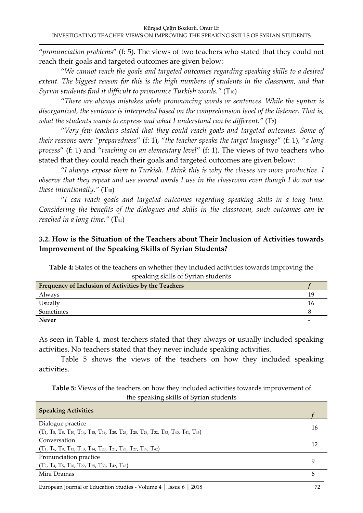"*pronunciation problems*" (f: 5). The views of two teachers who stated that they could not reach their goals and targeted outcomes are given below:

"*We cannot reach the goals and targeted outcomes regarding speaking skills to a desired*  extent. The biggest reason for this is the high numbers of students in the classroom, and that *Syrian students find it difficult to pronounce Turkish words."* (T<sub>10</sub>)

"*There are always mistakes while pronouncing words or sentences. While the syntax is disorganized, the sentence is interpreted based on the comprehension level of the listener. That is, what the students wants to express and what I understand can be different."* (T<sub>2</sub>)

"*Very few teachers stated that they could reach goals and targeted outcomes. Some of their reasons were "preparedness*" (f: 1), "*the teacher speaks the target language*" (f: 1), "*a long process*" (f: 1) and "*reaching on an elementary level*" (f: 1). The views of two teachers who stated that they could reach their goals and targeted outcomes are given below:

"*I always expose them to Turkish. I think this is why the classes are more productive. I observe that they repeat and use several words I use in the classroom even though I do not use these intentionally.*"  $(T_{40})$ 

"*I can reach goals and targeted outcomes regarding speaking skills in a long time. Considering the benefits of the dialogues and skills in the classroom, such outcomes can be reached in a long time."* (T<sub>41</sub>)

# **3.2. How is the Situation of the Teachers about Their Inclusion of Activities towards Improvement of the Speaking Skills of Syrian Students?**

**Table 4:** States of the teachers on whether they included activities towards improving the speaking skills of Syrian students

| Frequency of Inclusion of Activities by the Teachers |     |
|------------------------------------------------------|-----|
| Always                                               | 1 C |
| Usually                                              | 1 h |
| Sometimes                                            |     |
| <b>Never</b>                                         |     |

As seen in Table 4, most teachers stated that they always or usually included speaking activities. No teachers stated that they never include speaking activities.

Table 5 shows the views of the teachers on how they included speaking activities.

#### **Table 5:** Views of the teachers on how they included activities towards improvement of the speaking skills of Syrian students

| <b>Speaking Activities</b>                                                                                                |    |
|---------------------------------------------------------------------------------------------------------------------------|----|
| Dialogue practice                                                                                                         |    |
| $(T_1, T_5, T_8, T_{10}, T_{14}, T_{18}, T_{19}, T_{20}, T_{26}, T_{28}, T_{29}, T_{32}, T_{33}, T_{40}, T_{41}, T_{43})$ | 16 |
| Conversation                                                                                                              |    |
| $(T_1, T_6, T_9, T_{12}, T_{13}, T_{14}, T_{20}, T_{21}, T_{23}, T_{27}, T_{39}, T_{42})$                                 |    |
| Pronunciation practice                                                                                                    |    |
| $(T_2, T_4, T_5, T_{20}, T_{22}, T_{25}, T_{30}, T_{42}, T_{43})$                                                         |    |
| Mini Dramas                                                                                                               |    |
|                                                                                                                           |    |

European Journal of Education Studies - Volume 4 │ Issue 6 │ 2018 72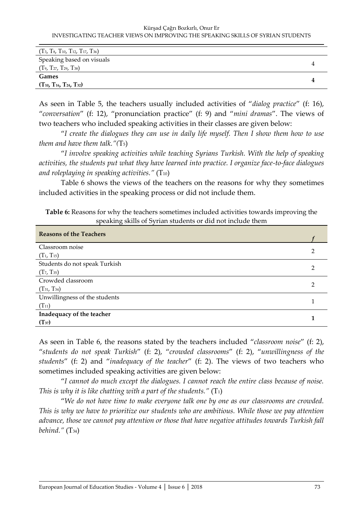#### Kürşad Çağrı Bozkırlı, Onur Er INVESTIGATING TEACHER VIEWS ON IMPROVING THE SPEAKING SKILLS OF SYRIAN STUDENTS

| $(T_3, T_8, T_{10}, T_{12}, T_{17}, T_{36})$ |  |
|----------------------------------------------|--|
| Speaking based on visuals                    |  |
| $(T_9, T_{27}, T_{29}, T_{38})$              |  |
| Games                                        |  |
| $(T_{10}, T_{16}, T_{24}, T_{32})$           |  |

As seen in Table 5, the teachers usually included activities of "*dialog practice*" (f: 16), "*conversation*" (f: 12), "pronunciation practice" (f: 9) and "*mini dramas*". The views of two teachers who included speaking activities in their classes are given below:

"*I create the dialogues they can use in daily life myself. Then I show them how to use them and have them talk."(*T5)

"*I involve speaking activities while teaching Syrians Turkish. With the help of speaking activities, the students put what they have learned into practice. I organize face-to-face dialogues and roleplaying in speaking activities."* (T10)

Table 6 shows the views of the teachers on the reasons for why they sometimes included activities in the speaking process or did not include them.

| <b>Table 6:</b> Reasons for why the teachers sometimes included activities towards improving the |  |
|--------------------------------------------------------------------------------------------------|--|
| speaking skills of Syrian students or did not include them                                       |  |

| <b>Reasons of the Teachers</b> |  |
|--------------------------------|--|
| Classroom noise                |  |
| $(T_1, T_{15})$                |  |
| Students do not speak Turkish  |  |
| $(T_7, T_{35})$                |  |
| Crowded classroom              |  |
| $(T_{31}, T_{34})$             |  |
| Unwillingness of the students  |  |
| $(T_{11})$                     |  |
| Inadequacy of the teacher      |  |
| $(T_{37})$                     |  |

As seen in Table 6, the reasons stated by the teachers included "*classroom noise*" (f: 2), "*students do not speak Turkish*" (f: 2), "*crowded classrooms*" (f: 2), "*unwillingness of the students*" (f: 2) and "*inadequacy of the teacher*" (f: 2). The views of two teachers who sometimes included speaking activities are given below:

"*I cannot do much except the dialogues. I cannot reach the entire class because of noise. This is why it is like chatting with a part of the students."* (T<sub>1</sub>)

"*We do not have time to make everyone talk one by one as our classrooms are crowded. This is why we have to prioritize our students who are ambitious. While those we pay attention advance, those we cannot pay attention or those that have negative attitudes towards Turkish fall behind."* (T34)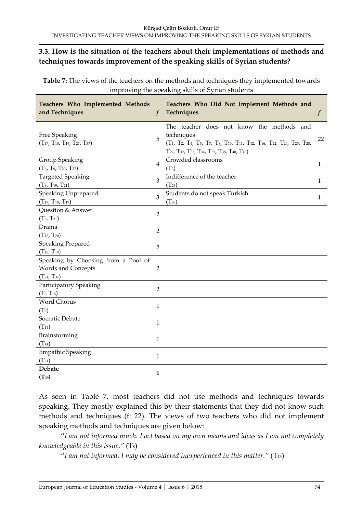# **3.3. How is the situation of the teachers about their implementations of methods and techniques towards improvement of the speaking skills of Syrian students?**

**Table 7:** The views of the teachers on the methods and techniques they implemented towards improving the speaking skills of Syrian students

| Teachers Who Implemented Methods<br>and Techniques          | $\boldsymbol{f}$ | Teachers Who Did Not Implement Methods and<br>Techniques                                                                                                               | $\boldsymbol{f}$ |
|-------------------------------------------------------------|------------------|------------------------------------------------------------------------------------------------------------------------------------------------------------------------|------------------|
| Free Speaking<br>$(T_{17}, T_{18}, T_{19}, T_{21}, T_{37})$ | 5                | The teacher does not know the methods and<br>techniques<br>(T1, T2, T4, T5, T7, T8, T10, T11, T12, T16, T22, T24, T25, T28,<br>Т29, Т32, Т33, Т34, Т35, Т38, Т40, Т43) | 22               |
| Group Speaking                                              | $\overline{4}$   | Crowded classrooms                                                                                                                                                     | $\mathbf{1}$     |
| $(T6, T9, T23, T37)$                                        |                  | $(T_3)$                                                                                                                                                                |                  |
| <b>Targeted Speaking</b>                                    | 3                | Indifference of the teacher                                                                                                                                            | $\mathbf{1}$     |
| $(T9, T19, T21)$                                            |                  | $(T_{26})$                                                                                                                                                             |                  |
| Speaking Unprepared                                         | 3                | Students do not speak Turkish                                                                                                                                          | $\mathbf{1}$     |
| $(T_{17}, T_{18}, T_{19})$                                  |                  | $(T_{30})$                                                                                                                                                             |                  |
| Question & Answer                                           | $\overline{2}$   |                                                                                                                                                                        |                  |
| $(T_6, T_{31})$                                             |                  |                                                                                                                                                                        |                  |
| Drama                                                       | $\overline{2}$   |                                                                                                                                                                        |                  |
| $(T_{13}, T_{20})$                                          |                  |                                                                                                                                                                        |                  |
| <b>Speaking Prepared</b>                                    | $\overline{2}$   |                                                                                                                                                                        |                  |
| $(T_{18}, T_{19})$                                          |                  |                                                                                                                                                                        |                  |
| Speaking by Choosing from a Pool of                         |                  |                                                                                                                                                                        |                  |
| Words and Concepts                                          | $\overline{2}$   |                                                                                                                                                                        |                  |
| $(T_{21}, T_{37})$                                          |                  |                                                                                                                                                                        |                  |
| Participatory Speaking                                      | $\overline{2}$   |                                                                                                                                                                        |                  |
| $(T_9, T_{15})$                                             |                  |                                                                                                                                                                        |                  |
| Word Chorus                                                 | 1                |                                                                                                                                                                        |                  |
| (T <sub>9</sub> )                                           |                  |                                                                                                                                                                        |                  |
| Socratic Debate                                             |                  |                                                                                                                                                                        |                  |
| $(T_{14})$                                                  | 1                |                                                                                                                                                                        |                  |
| Brainstorming                                               | $\mathbf{1}$     |                                                                                                                                                                        |                  |
| $(T_{14})$                                                  |                  |                                                                                                                                                                        |                  |
| <b>Empathic Speaking</b>                                    |                  |                                                                                                                                                                        |                  |
| $(T_{21})$                                                  | $\mathbf{1}$     |                                                                                                                                                                        |                  |
| <b>Debate</b>                                               |                  |                                                                                                                                                                        |                  |
| $(T_{39})$                                                  | 1                |                                                                                                                                                                        |                  |

As seen in Table 7, most teachers did not use methods and techniques towards speaking. They mostly explained this by their statements that they did not know such methods and techniques (f: 22). The views of two teachers who did not implement speaking methods and techniques are given below:

"*I am not informed much. I act based on my own means and ideas as I am not completely knowledgeable in this issue."* (T8)

"*I am not informed. I may be considered inexperienced in this matter."* (T43)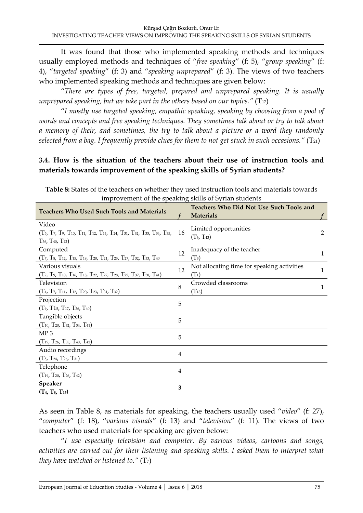It was found that those who implemented speaking methods and techniques usually employed methods and techniques of "*free speaking*" (f: 5), "*group speaking*" (f: 4), "*targeted speaking*" (f: 3) and "*speaking unprepared*" (f: 3). The views of two teachers who implemented speaking methods and techniques are given below:

"*There are types of free, targeted, prepared and unprepared speaking. It is usually unprepared speaking, but we take part in the others based on our topics.<sup>"</sup>* ( $T_{17}$ )

"*I mostly use targeted speaking, empathic speaking, speaking by choosing from a pool of words and concepts and free speaking techniques. They sometimes talk about or try to talk about a memory of their, and sometimes, the try to talk about a picture or a word they randomly selected from a bag. I frequently provide clues for them to not get stuck in such occasions."* (T<sub>21</sub>)

# **3.4. How is the situation of the teachers about their use of instruction tools and materials towards improvement of the speaking skills of Syrian students?**

| <b>Teachers Who Used Such Tools and Materials</b>                                                               |    | Teachers Who Did Not Use Such Tools and<br><b>Materials</b> |              |
|-----------------------------------------------------------------------------------------------------------------|----|-------------------------------------------------------------|--------------|
| Video<br>(Т5, Т7, Т9, Т10, Т11, Т12, Т14, Т24, Т31, Т32, Т33, Т34, Т35,<br>$T_{36}$ , $T_{40}$ , $T_{42}$ )     | 16 | Limited opportunities<br>$(T_6, T_{43})$                    | 2            |
| Computed<br>(T7, T8, T12, T15, T19, T20, T21, T23, T27, T32, T33, T40                                           | 12 | Inadequacy of the teacher<br>$(T_3)$                        | 1            |
| Various visuals<br>$(T_2, T_9, T_{10}, T_{16}, T_{18}, T_{22}, T_{27}, T_{28}, T_{29}, T_{37}, T_{38}, T_{41})$ | 12 | Not allocating time for speaking activities<br>$(T_1)$      | $\mathbf{1}$ |
| Television<br>$(T_4, T_7, T_{11}, T_{12}, T_{20}, T_{23}, T_{31}, T_{32})$                                      | 8  | Crowded classrooms<br>$(T_{13})$                            | 1            |
| Projection<br>(T9, T15, T17, T36, T40)                                                                          | 5  |                                                             |              |
| Tangible objects<br>$(T_{10}, T_{20}, T_{32}, T_{34}, T_{41})$                                                  | 5  |                                                             |              |
| MP <sub>3</sub><br>$(T_{19}, T_{26}, T_{35}, T_{40}, T_{42})$                                                   | 5  |                                                             |              |
| Audio recordings<br>$(T_5, T_{24}, T_{26}, T_{31})$                                                             | 4  |                                                             |              |
| Telephone<br>$(T_{19}, T_{20}, T_{26}, T_{42})$                                                                 | 4  |                                                             |              |
| Speaker<br>$(T_4, T_8, T_{15})$                                                                                 | 3  |                                                             |              |

**Table 8:** States of the teachers on whether they used instruction tools and materials towards improvement of the speaking skills of Syrian students

As seen in Table 8, as materials for speaking, the teachers usually used "*video*" (f: 27), "*computer*" (f: 18), "*various visuals*" (f: 13) and "*television*" (f: 11). The views of two teachers who used materials for speaking are given below:

"*I use especially television and computer. By various videos, cartoons and songs,*  activities are carried out for their listening and speaking skills. I asked them to interpret what *they have watched or listened to."* (T7)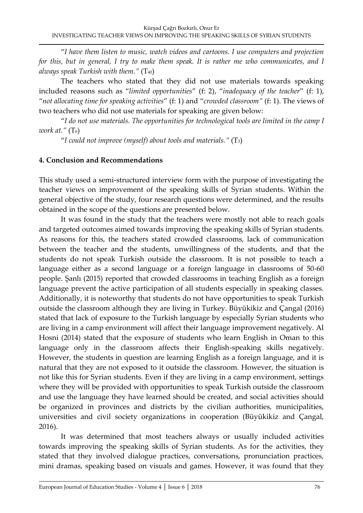"*I have them listen to music, watch videos and cartoons. I use computers and projection for this, but in general, I try to make them speak. It is rather me who communicates, and I always speak Turkish with them."* (T40)

The teachers who stated that they did not use materials towards speaking included reasons such as "*limited opportunities*" (f: 2), "*inadequacy of the teacher*" (f: 1), "*not allocating time for speaking activities*" (f: 1) and "*crowded classroom"* (f: 1). The views of two teachers who did not use materials for speaking are given below:

"*I do not use materials. The opportunities for technological tools are limited in the camp I work at.*<sup>*"*</sup> (T<sub>6</sub>)

"*I could not improve (myself) about tools and materials."* (T3)

# **4. Conclusion and Recommendations**

This study used a semi-structured interview form with the purpose of investigating the teacher views on improvement of the speaking skills of Syrian students. Within the general objective of the study, four research questions were determined, and the results obtained in the scope of the questions are presented below.

It was found in the study that the teachers were mostly not able to reach goals and targeted outcomes aimed towards improving the speaking skills of Syrian students. As reasons for this, the teachers stated crowded classrooms, lack of communication between the teacher and the students, unwillingness of the students, and that the students do not speak Turkish outside the classroom. It is not possible to teach a language either as a second language or a foreign language in classrooms of 50-60 people. Şanlı (2015) reported that crowded classrooms in teaching English as a foreign language prevent the active participation of all students especially in speaking classes. Additionally, it is noteworthy that students do not have opportunities to speak Turkish outside the classroom although they are living in Turkey. Büyükikiz and Çangal (2016) stated that lack of exposure to the Turkish language by especially Syrian students who are living in a camp environment will affect their language improvement negatively. Al Hosni (2014) stated that the exposure of students who learn English in Oman to this language only in the classroom affects their English-speaking skills negatively. However, the students in question are learning English as a foreign language, and it is natural that they are not exposed to it outside the classroom. However, the situation is not like this for Syrian students. Even if they are living in a camp environment, settings where they will be provided with opportunities to speak Turkish outside the classroom and use the language they have learned should be created, and social activities should be organized in provinces and districts by the civilian authorities, municipalities, universities and civil society organizations in cooperation (Büyükikiz and Çangal, 2016).

It was determined that most teachers always or usually included activities towards improving the speaking skills of Syrian students. As for the activities, they stated that they involved dialogue practices, conversations, pronunciation practices, mini dramas, speaking based on visuals and games. However, it was found that they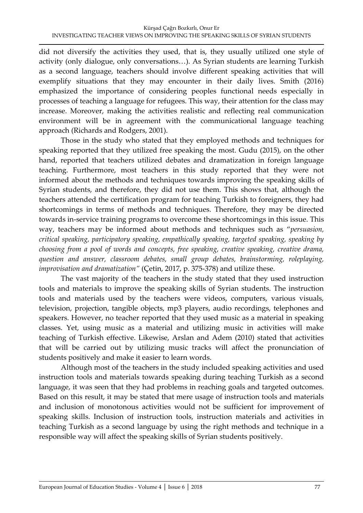did not diversify the activities they used, that is, they usually utilized one style of activity (only dialogue, only conversations…). As Syrian students are learning Turkish as a second language, teachers should involve different speaking activities that will exemplify situations that they may encounter in their daily lives. Smith (2016) emphasized the importance of considering peoples functional needs especially in processes of teaching a language for refugees. This way, their attention for the class may increase. Moreover, making the activities realistic and reflecting real communication environment will be in agreement with the communicational language teaching approach (Richards and Rodgers, 2001).

Those in the study who stated that they employed methods and techniques for speaking reported that they utilized free speaking the most. Gudu (2015), on the other hand, reported that teachers utilized debates and dramatization in foreign language teaching. Furthermore, most teachers in this study reported that they were not informed about the methods and techniques towards improving the speaking skills of Syrian students, and therefore, they did not use them. This shows that, although the teachers attended the certification program for teaching Turkish to foreigners, they had shortcomings in terms of methods and techniques. Therefore, they may be directed towards in-service training programs to overcome these shortcomings in this issue. This way, teachers may be informed about methods and techniques such as "*persuasion, critical speaking, participatory speaking, empathically speaking, targeted speaking, speaking by choosing from a pool of words and concepts, free speaking, creative speaking, creative drama, question and answer, classroom debates, small group debates, brainstorming, roleplaying, improvisation and dramatization"* (Çetin, 2017, p. 375-378) and utilize these.

The vast majority of the teachers in the study stated that they used instruction tools and materials to improve the speaking skills of Syrian students. The instruction tools and materials used by the teachers were videos, computers, various visuals, television, projection, tangible objects, mp3 players, audio recordings, telephones and speakers. However, no teacher reported that they used music as a material in speaking classes. Yet, using music as a material and utilizing music in activities will make teaching of Turkish effective. Likewise, Arslan and Adem (2010) stated that activities that will be carried out by utilizing music tracks will affect the pronunciation of students positively and make it easier to learn words.

Although most of the teachers in the study included speaking activities and used instruction tools and materials towards speaking during teaching Turkish as a second language, it was seen that they had problems in reaching goals and targeted outcomes. Based on this result, it may be stated that mere usage of instruction tools and materials and inclusion of monotonous activities would not be sufficient for improvement of speaking skills. Inclusion of instruction tools, instruction materials and activities in teaching Turkish as a second language by using the right methods and technique in a responsible way will affect the speaking skills of Syrian students positively.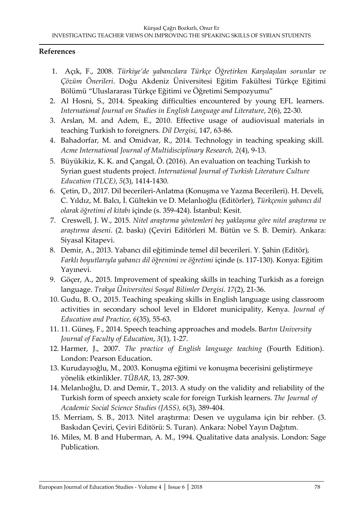### **References**

- 1. Açık, F., 2008. *Türkiye'de yabancılara Türkçe Öğretirken Karşılaşılan sorunlar ve Çözüm Önerileri*. Doğu Akdeniz Üniversitesi Eğitim Fakültesi Türkçe Eğitimi Bölümü "Uluslararası Türkçe Eğitimi ve Öğretimi Sempozyumu"
- 2. Al Hosni, S., 2014. Speaking difficulties encountered by young EFL learners. *International Journal on Studies in English Language and Literature*, *2*(6), 22-30.
- 3. Arslan, M. and Adem, E., 2010. Effective usage of audiovisual materials in teaching Turkish to foreigners*. Dil Dergisi*, 147, 63-86.
- 4. Bahadorfar, M. and Omidvar, R., 2014. Technology in teaching speaking skill. *Acme International Journal of Multidisciplinary Research, 2*(4), 9-13.
- 5. Büyükikiz, K. K. and Çangal, Ö. (2016). An evaluation on teaching Turkish to Syrian guest students project. *International Journal of Turkish Literature Culture Education (TLCE)*, *5*(3), 1414-1430.
- 6. Çetin, D., 2017. Dil becerileri-Anlatma (Konuşma ve Yazma Becerileri). H. Develi, C. Yıldız, M. Balcı, İ. Gültekin ve D. Melanlıoğlu (Editörler), *Türkçenin yabancı dil olarak öğretimi el kitabı* içinde (s. 359-424). İstanbul: Kesit.
- 7. Creswell, J. W., 2015. *Nitel araştırma yöntemleri beş yaklaşıma göre nitel araştırma ve araştırma deseni*. (2. baskı) (Çeviri Editörleri M. Bütün ve S. B. Demir). Ankara: Siyasal Kitapevi.
- 8. Demir, A., 2013. Yabancı dil eğitiminde temel dil becerileri. Y. Şahin (Editör), *Farklı boyutlarıyla yabancı dil öğrenimi ve öğretimi* içinde (s. 117-130). Konya: Eğitim Yayınevi.
- 9. Göçer, A., 2015. Improvement of speaking skills in teaching Turkish as a foreign language. *Trakya Üniversitesi Sosyal Bilimler Dergisi*. *17*(2), 21-36.
- 10. Gudu, B. O., 2015. Teaching speaking skills in English language using classroom activities in secondary school level in Eldoret municipality, Kenya. *Journal of Education and Practice, 6*(35), 55-63.
- 11. 11. Güneş, F., 2014. Speech teaching approaches and models. B*artın University Journal of Faculty of Education*, *3*(1), 1-27.
- 12. Harmer, J., 2007. *The practice of English language teaching* (Fourth Edition). London: Pearson Education.
- 13. Kurudayıoğlu, M., 2003. Konuşma eğitimi ve konuşma becerisini geliştirmeye yönelik etkinlikler. *TÜBAR*, 13, 287-309.
- 14. Melanlıoğlu, D. and Demir, T., 2013. A study on the validity and reliability of the Turkish form of speech anxiety scale for foreign Turkish learners. *The Journal of Academic Social Science Studies (JASS), 6*(3), 389-404.
- 15. Merriam, S. B., 2013. Nitel araştırma: Desen ve uygulama için bir rehber. (3. Baskıdan Çeviri, Çeviri Editörü: S. Turan). Ankara: Nobel Yayın Dağıtım.
- 16. Miles, M. B and Huberman, A. M., 1994. Qualitative data analysis. London: Sage Publication.